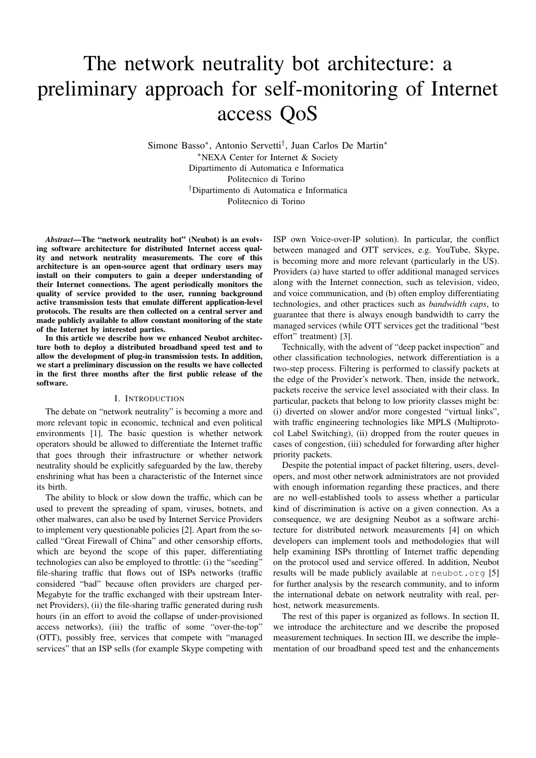# The network neutrality bot architecture: a preliminary approach for self-monitoring of Internet access QoS

Simone Basso<sup>∗</sup> , Antonio Servetti† , Juan Carlos De Martin<sup>∗</sup> <sup>∗</sup>NEXA Center for Internet & Society Dipartimento di Automatica e Informatica Politecnico di Torino †Dipartimento di Automatica e Informatica Politecnico di Torino

*Abstract*—The "network neutrality bot" (Neubot) is an evolving software architecture for distributed Internet access quality and network neutrality measurements. The core of this architecture is an open-source agent that ordinary users may install on their computers to gain a deeper understanding of their Internet connections. The agent periodically monitors the quality of service provided to the user, running background active transmission tests that emulate different application-level protocols. The results are then collected on a central server and made publicly available to allow constant monitoring of the state of the Internet by interested parties.

In this article we describe how we enhanced Neubot architecture both to deploy a distributed broadband speed test and to allow the development of plug-in transmission tests. In addition, we start a preliminary discussion on the results we have collected in the first three months after the first public release of the software.

## I. INTRODUCTION

The debate on "network neutrality" is becoming a more and more relevant topic in economic, technical and even political environments [1]. The basic question is whether network operators should be allowed to differentiate the Internet traffic that goes through their infrastructure or whether network neutrality should be explicitly safeguarded by the law, thereby enshrining what has been a characteristic of the Internet since its birth.

The ability to block or slow down the traffic, which can be used to prevent the spreading of spam, viruses, botnets, and other malwares, can also be used by Internet Service Providers to implement very questionable policies [2]. Apart from the socalled "Great Firewall of China" and other censorship efforts, which are beyond the scope of this paper, differentiating technologies can also be employed to throttle: (i) the "seeding" file-sharing traffic that flows out of ISPs networks (traffic considered "bad" because often providers are charged per-Megabyte for the traffic exchanged with their upstream Internet Providers), (ii) the file-sharing traffic generated during rush hours (in an effort to avoid the collapse of under-provisioned access networks), (iii) the traffic of some "over-the-top" (OTT), possibly free, services that compete with "managed services" that an ISP sells (for example Skype competing with

ISP own Voice-over-IP solution). In particular, the conflict between managed and OTT services, e.g. YouTube, Skype, is becoming more and more relevant (particularly in the US). Providers (a) have started to offer additional managed services along with the Internet connection, such as television, video, and voice communication, and (b) often employ differentiating technologies, and other practices such as *bandwidth caps*, to guarantee that there is always enough bandwidth to carry the managed services (while OTT services get the traditional "best effort" treatment) [3].

Technically, with the advent of "deep packet inspection" and other classification technologies, network differentiation is a two-step process. Filtering is performed to classify packets at the edge of the Provider's network. Then, inside the network, packets receive the service level associated with their class. In particular, packets that belong to low priority classes might be: (i) diverted on slower and/or more congested "virtual links", with traffic engineering technologies like MPLS (Multiprotocol Label Switching), (ii) dropped from the router queues in cases of congestion, (iii) scheduled for forwarding after higher priority packets.

Despite the potential impact of packet filtering, users, developers, and most other network administrators are not provided with enough information regarding these practices, and there are no well-established tools to assess whether a particular kind of discrimination is active on a given connection. As a consequence, we are designing Neubot as a software architecture for distributed network measurements [4] on which developers can implement tools and methodologies that will help examining ISPs throttling of Internet traffic depending on the protocol used and service offered. In addition, Neubot results will be made publicly available at neubot.org [5] for further analysis by the research community, and to inform the international debate on network neutrality with real, perhost, network measurements.

The rest of this paper is organized as follows. In section II, we introduce the architecture and we describe the proposed measurement techniques. In section III, we describe the implementation of our broadband speed test and the enhancements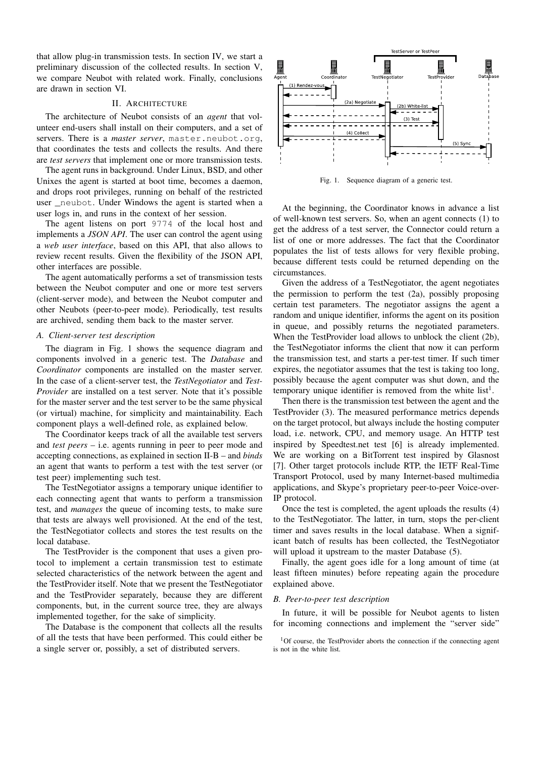that allow plug-in transmission tests. In section IV, we start a preliminary discussion of the collected results. In section V, we compare Neubot with related work. Finally, conclusions are drawn in section VI.

# II. ARCHITECTURE

The architecture of Neubot consists of an *agent* that volunteer end-users shall install on their computers, and a set of servers. There is a *master server*, master.neubot.org, that coordinates the tests and collects the results. And there are *test servers* that implement one or more transmission tests.

The agent runs in background. Under Linux, BSD, and other Unixes the agent is started at boot time, becomes a daemon, and drops root privileges, running on behalf of the restricted user \_neubot. Under Windows the agent is started when a user logs in, and runs in the context of her session.

The agent listens on port 9774 of the local host and implements a *JSON API*. The user can control the agent using a *web user interface*, based on this API, that also allows to review recent results. Given the flexibility of the JSON API, other interfaces are possible.

The agent automatically performs a set of transmission tests between the Neubot computer and one or more test servers (client-server mode), and between the Neubot computer and other Neubots (peer-to-peer mode). Periodically, test results are archived, sending them back to the master server.

#### *A. Client-server test description*

The diagram in Fig. 1 shows the sequence diagram and components involved in a generic test. The *Database* and *Coordinator* components are installed on the master server. In the case of a client-server test, the *TestNegotiator* and *Test-Provider* are installed on a test server. Note that it's possible for the master server and the test server to be the same physical (or virtual) machine, for simplicity and maintainability. Each component plays a well-defined role, as explained below.

The Coordinator keeps track of all the available test servers and *test peers* – i.e. agents running in peer to peer mode and accepting connections, as explained in section II-B – and *binds* an agent that wants to perform a test with the test server (or test peer) implementing such test.

The TestNegotiator assigns a temporary unique identifier to each connecting agent that wants to perform a transmission test, and *manages* the queue of incoming tests, to make sure that tests are always well provisioned. At the end of the test, the TestNegotiator collects and stores the test results on the local database.

The TestProvider is the component that uses a given protocol to implement a certain transmission test to estimate selected characteristics of the network between the agent and the TestProvider itself. Note that we present the TestNegotiator and the TestProvider separately, because they are different components, but, in the current source tree, they are always implemented together, for the sake of simplicity.

The Database is the component that collects all the results of all the tests that have been performed. This could either be a single server or, possibly, a set of distributed servers.



Fig. 1. Sequence diagram of a generic test.

At the beginning, the Coordinator knows in advance a list of well-known test servers. So, when an agent connects (1) to get the address of a test server, the Connector could return a list of one or more addresses. The fact that the Coordinator populates the list of tests allows for very flexible probing, because different tests could be returned depending on the circumstances.

Given the address of a TestNegotiator, the agent negotiates the permission to perform the test (2a), possibly proposing certain test parameters. The negotiator assigns the agent a random and unique identifier, informs the agent on its position in queue, and possibly returns the negotiated parameters. When the TestProvider load allows to unblock the client (2b), the TestNegotiator informs the client that now it can perform the transmission test, and starts a per-test timer. If such timer expires, the negotiator assumes that the test is taking too long, possibly because the agent computer was shut down, and the temporary unique identifier is removed from the white  $list^1$ .

Then there is the transmission test between the agent and the TestProvider (3). The measured performance metrics depends on the target protocol, but always include the hosting computer load, i.e. network, CPU, and memory usage. An HTTP test inspired by Speedtest.net test [6] is already implemented. We are working on a BitTorrent test inspired by Glasnost [7]. Other target protocols include RTP, the IETF Real-Time Transport Protocol, used by many Internet-based multimedia applications, and Skype's proprietary peer-to-peer Voice-over-IP protocol.

Once the test is completed, the agent uploads the results (4) to the TestNegotiator. The latter, in turn, stops the per-client timer and saves results in the local database. When a significant batch of results has been collected, the TestNegotiator will upload it upstream to the master Database (5).

Finally, the agent goes idle for a long amount of time (at least fifteen minutes) before repeating again the procedure explained above.

#### *B. Peer-to-peer test description*

In future, it will be possible for Neubot agents to listen for incoming connections and implement the "server side"

<sup>1</sup>Of course, the TestProvider aborts the connection if the connecting agent is not in the white list.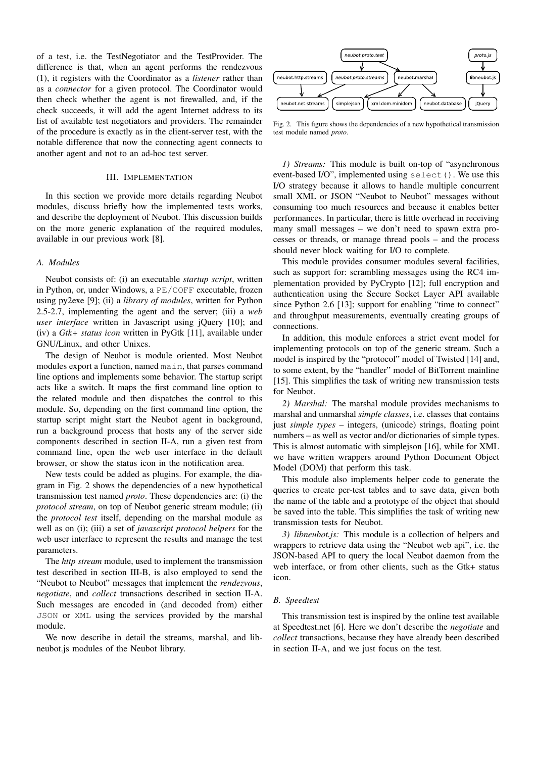of a test, i.e. the TestNegotiator and the TestProvider. The difference is that, when an agent performs the rendezvous (1), it registers with the Coordinator as a *listener* rather than as a *connector* for a given protocol. The Coordinator would then check whether the agent is not firewalled, and, if the check succeeds, it will add the agent Internet address to its list of available test negotiators and providers. The remainder of the procedure is exactly as in the client-server test, with the notable difference that now the connecting agent connects to another agent and not to an ad-hoc test server.

# III. IMPLEMENTATION

In this section we provide more details regarding Neubot modules, discuss briefly how the implemented tests works, and describe the deployment of Neubot. This discussion builds on the more generic explanation of the required modules, available in our previous work [8].

#### *A. Modules*

Neubot consists of: (i) an executable *startup script*, written in Python, or, under Windows, a PE/COFF executable, frozen using py2exe [9]; (ii) a *library of modules*, written for Python 2.5-2.7, implementing the agent and the server; (iii) a *web user interface* written in Javascript using jQuery [10]; and (iv) a *Gtk+ status icon* written in PyGtk [11], available under GNU/Linux, and other Unixes.

The design of Neubot is module oriented. Most Neubot modules export a function, named main, that parses command line options and implements some behavior. The startup script acts like a switch. It maps the first command line option to the related module and then dispatches the control to this module. So, depending on the first command line option, the startup script might start the Neubot agent in background, run a background process that hosts any of the server side components described in section II-A, run a given test from command line, open the web user interface in the default browser, or show the status icon in the notification area.

New tests could be added as plugins. For example, the diagram in Fig. 2 shows the dependencies of a new hypothetical transmission test named *proto*. These dependencies are: (i) the *protocol stream*, on top of Neubot generic stream module; (ii) the *protocol test* itself, depending on the marshal module as well as on (i); (iii) a set of *javascript protocol helpers* for the web user interface to represent the results and manage the test parameters.

The *http stream* module, used to implement the transmission test described in section III-B, is also employed to send the "Neubot to Neubot" messages that implement the *rendezvous*, *negotiate*, and *collect* transactions described in section II-A. Such messages are encoded in (and decoded from) either JSON or XML using the services provided by the marshal module.

We now describe in detail the streams, marshal, and libneubot.js modules of the Neubot library.



Fig. 2. This figure shows the dependencies of a new hypothetical transmission test module named *proto*.

*1) Streams:* This module is built on-top of "asynchronous event-based I/O", implemented using select(). We use this I/O strategy because it allows to handle multiple concurrent small XML or JSON "Neubot to Neubot" messages without consuming too much resources and because it enables better performances. In particular, there is little overhead in receiving many small messages – we don't need to spawn extra processes or threads, or manage thread pools – and the process should never block waiting for I/O to complete.

This module provides consumer modules several facilities, such as support for: scrambling messages using the RC4 implementation provided by PyCrypto [12]; full encryption and authentication using the Secure Socket Layer API available since Python 2.6 [13]; support for enabling "time to connect" and throughput measurements, eventually creating groups of connections.

In addition, this module enforces a strict event model for implementing protocols on top of the generic stream. Such a model is inspired by the "protocol" model of Twisted [14] and, to some extent, by the "handler" model of BitTorrent mainline [15]. This simplifies the task of writing new transmission tests for Neubot.

*2) Marshal:* The marshal module provides mechanisms to marshal and unmarshal *simple classes*, i.e. classes that contains just *simple types* – integers, (unicode) strings, floating point numbers – as well as vector and/or dictionaries of simple types. This is almost automatic with simplejson [16], while for XML we have written wrappers around Python Document Object Model (DOM) that perform this task.

This module also implements helper code to generate the queries to create per-test tables and to save data, given both the name of the table and a prototype of the object that should be saved into the table. This simplifies the task of writing new transmission tests for Neubot.

*3) libneubot.js:* This module is a collection of helpers and wrappers to retrieve data using the "Neubot web api", i.e. the JSON-based API to query the local Neubot daemon from the web interface, or from other clients, such as the Gtk+ status icon.

#### *B. Speedtest*

This transmission test is inspired by the online test available at Speedtest.net [6]. Here we don't describe the *negotiate* and *collect* transactions, because they have already been described in section II-A, and we just focus on the test.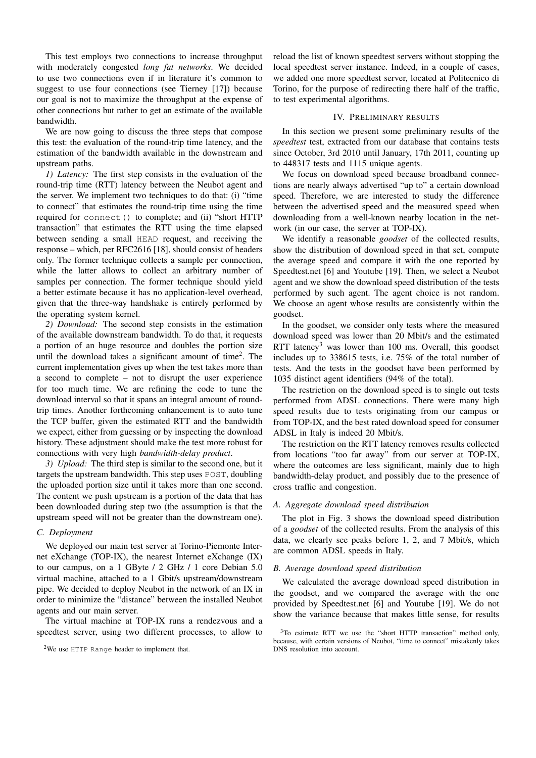This test employs two connections to increase throughput with moderately congested *long fat networks*. We decided to use two connections even if in literature it's common to suggest to use four connections (see Tierney [17]) because our goal is not to maximize the throughput at the expense of other connections but rather to get an estimate of the available bandwidth.

We are now going to discuss the three steps that compose this test: the evaluation of the round-trip time latency, and the estimation of the bandwidth available in the downstream and upstream paths.

*1) Latency:* The first step consists in the evaluation of the round-trip time (RTT) latency between the Neubot agent and the server. We implement two techniques to do that: (i) "time to connect" that estimates the round-trip time using the time required for connect() to complete; and (ii) "short HTTP transaction" that estimates the RTT using the time elapsed between sending a small HEAD request, and receiving the response – which, per RFC2616 [18], should consist of headers only. The former technique collects a sample per connection, while the latter allows to collect an arbitrary number of samples per connection. The former technique should yield a better estimate because it has no application-level overhead, given that the three-way handshake is entirely performed by the operating system kernel.

*2) Download:* The second step consists in the estimation of the available downstream bandwidth. To do that, it requests a portion of an huge resource and doubles the portion size until the download takes a significant amount of time<sup>2</sup>. The current implementation gives up when the test takes more than a second to complete – not to disrupt the user experience for too much time. We are refining the code to tune the download interval so that it spans an integral amount of roundtrip times. Another forthcoming enhancement is to auto tune the TCP buffer, given the estimated RTT and the bandwidth we expect, either from guessing or by inspecting the download history. These adjustment should make the test more robust for connections with very high *bandwidth-delay product*.

*3) Upload:* The third step is similar to the second one, but it targets the upstream bandwidth. This step uses POST, doubling the uploaded portion size until it takes more than one second. The content we push upstream is a portion of the data that has been downloaded during step two (the assumption is that the upstream speed will not be greater than the downstream one).

#### *C. Deployment*

We deployed our main test server at Torino-Piemonte Internet eXchange (TOP-IX), the nearest Internet eXchange (IX) to our campus, on a 1 GByte / 2 GHz / 1 core Debian 5.0 virtual machine, attached to a 1 Gbit/s upstream/downstream pipe. We decided to deploy Neubot in the network of an IX in order to minimize the "distance" between the installed Neubot agents and our main server.

The virtual machine at TOP-IX runs a rendezvous and a speedtest server, using two different processes, to allow to reload the list of known speedtest servers without stopping the local speedtest server instance. Indeed, in a couple of cases, we added one more speedtest server, located at Politecnico di Torino, for the purpose of redirecting there half of the traffic, to test experimental algorithms.

# IV. PRELIMINARY RESULTS

In this section we present some preliminary results of the *speedtest* test, extracted from our database that contains tests since October, 3rd 2010 until January, 17th 2011, counting up to 448317 tests and 1115 unique agents.

We focus on download speed because broadband connections are nearly always advertised "up to" a certain download speed. Therefore, we are interested to study the difference between the advertised speed and the measured speed when downloading from a well-known nearby location in the network (in our case, the server at TOP-IX).

We identify a reasonable *goodset* of the collected results, show the distribution of download speed in that set, compute the average speed and compare it with the one reported by Speedtest.net [6] and Youtube [19]. Then, we select a Neubot agent and we show the download speed distribution of the tests performed by such agent. The agent choice is not random. We choose an agent whose results are consistently within the goodset.

In the goodset, we consider only tests where the measured download speed was lower than 20 Mbit/s and the estimated RTT latency<sup>3</sup> was lower than 100 ms. Overall, this goodset includes up to 338615 tests, i.e. 75% of the total number of tests. And the tests in the goodset have been performed by 1035 distinct agent identifiers (94% of the total).

The restriction on the download speed is to single out tests performed from ADSL connections. There were many high speed results due to tests originating from our campus or from TOP-IX, and the best rated download speed for consumer ADSL in Italy is indeed 20 Mbit/s.

The restriction on the RTT latency removes results collected from locations "too far away" from our server at TOP-IX, where the outcomes are less significant, mainly due to high bandwidth-delay product, and possibly due to the presence of cross traffic and congestion.

#### *A. Aggregate download speed distribution*

The plot in Fig. 3 shows the download speed distribution of a *goodset* of the collected results. From the analysis of this data, we clearly see peaks before 1, 2, and 7 Mbit/s, which are common ADSL speeds in Italy.

## *B. Average download speed distribution*

We calculated the average download speed distribution in the goodset, and we compared the average with the one provided by Speedtest.net [6] and Youtube [19]. We do not show the variance because that makes little sense, for results

<sup>2</sup>We use HTTP Range header to implement that.

<sup>&</sup>lt;sup>3</sup>To estimate RTT we use the "short HTTP transaction" method only, because, with certain versions of Neubot, "time to connect" mistakenly takes DNS resolution into account.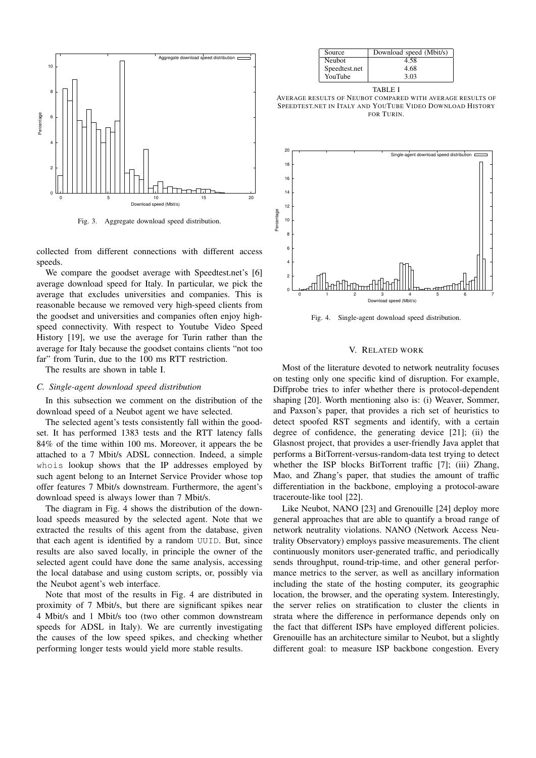

Fig. 3. Aggregate download speed distribution.

collected from different connections with different access speeds.

We compare the goodset average with Speedtest.net's [6] average download speed for Italy. In particular, we pick the average that excludes universities and companies. This is reasonable because we removed very high-speed clients from the goodset and universities and companies often enjoy highspeed connectivity. With respect to Youtube Video Speed History [19], we use the average for Turin rather than the average for Italy because the goodset contains clients "not too far" from Turin, due to the 100 ms RTT restriction.

The results are shown in table I.

# *C. Single-agent download speed distribution*

In this subsection we comment on the distribution of the download speed of a Neubot agent we have selected.

The selected agent's tests consistently fall within the goodset. It has performed 1383 tests and the RTT latency falls 84% of the time within 100 ms. Moreover, it appears the be attached to a 7 Mbit/s ADSL connection. Indeed, a simple whois lookup shows that the IP addresses employed by such agent belong to an Internet Service Provider whose top offer features 7 Mbit/s downstream. Furthermore, the agent's download speed is always lower than 7 Mbit/s.

The diagram in Fig. 4 shows the distribution of the download speeds measured by the selected agent. Note that we extracted the results of this agent from the database, given that each agent is identified by a random UUID. But, since results are also saved locally, in principle the owner of the selected agent could have done the same analysis, accessing the local database and using custom scripts, or, possibly via the Neubot agent's web interface.

Note that most of the results in Fig. 4 are distributed in proximity of 7 Mbit/s, but there are significant spikes near 4 Mbit/s and 1 Mbit/s too (two other common downstream speeds for ADSL in Italy). We are currently investigating the causes of the low speed spikes, and checking whether performing longer tests would yield more stable results.

| Source        | Download speed (Mbit/s) |
|---------------|-------------------------|
| <b>Neubot</b> | 4.58                    |
| Speedtest.net | 4.68                    |
| YouTube       | 3.03                    |

TABLE I AVERAGE RESULTS OF NEUBOT COMPARED WITH AVERAGE RESULTS OF SPEEDTEST.NET IN ITALY AND YOUTUBE VIDEO DOWNLOAD HISTORY FOR TURIN.



Fig. 4. Single-agent download speed distribution.

## V. RELATED WORK

Most of the literature devoted to network neutrality focuses on testing only one specific kind of disruption. For example, Diffprobe tries to infer whether there is protocol-dependent shaping [20]. Worth mentioning also is: (i) Weaver, Sommer, and Paxson's paper, that provides a rich set of heuristics to detect spoofed RST segments and identify, with a certain degree of confidence, the generating device [21]; (ii) the Glasnost project, that provides a user-friendly Java applet that performs a BitTorrent-versus-random-data test trying to detect whether the ISP blocks BitTorrent traffic [7]; (iii) Zhang, Mao, and Zhang's paper, that studies the amount of traffic differentiation in the backbone, employing a protocol-aware traceroute-like tool [22].

Like Neubot, NANO [23] and Grenouille [24] deploy more general approaches that are able to quantify a broad range of network neutrality violations. NANO (Network Access Neutrality Observatory) employs passive measurements. The client continuously monitors user-generated traffic, and periodically sends throughput, round-trip-time, and other general performance metrics to the server, as well as ancillary information including the state of the hosting computer, its geographic location, the browser, and the operating system. Interestingly, the server relies on stratification to cluster the clients in strata where the difference in performance depends only on the fact that different ISPs have employed different policies. Grenouille has an architecture similar to Neubot, but a slightly different goal: to measure ISP backbone congestion. Every